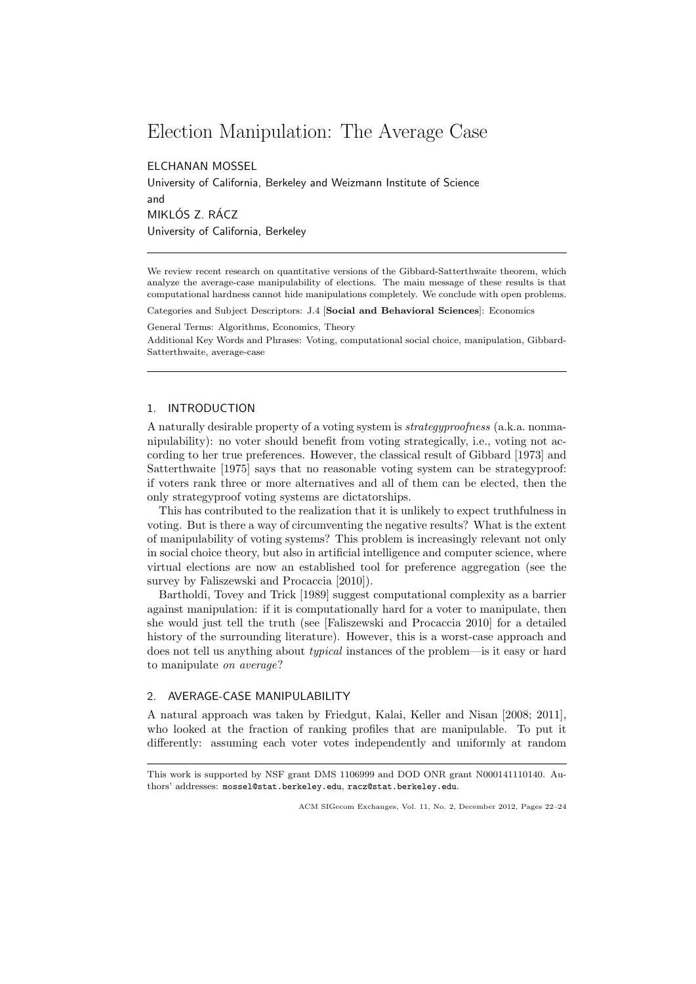# Election Manipulation: The Average Case

ELCHANAN MOSSEL

University of California, Berkeley and Weizmann Institute of Science and MIKLÓS Z. RÁCZ University of California, Berkeley

We review recent research on quantitative versions of the Gibbard-Satterthwaite theorem, which analyze the average-case manipulability of elections. The main message of these results is that computational hardness cannot hide manipulations completely. We conclude with open problems.

Categories and Subject Descriptors: J.4 [Social and Behavioral Sciences]: Economics

General Terms: Algorithms, Economics, Theory

Additional Key Words and Phrases: Voting, computational social choice, manipulation, Gibbard-Satterthwaite, average-case

## 1. INTRODUCTION

A naturally desirable property of a voting system is strategyproofness (a.k.a. nonmanipulability): no voter should benefit from voting strategically, i.e., voting not according to her true preferences. However, the classical result of Gibbard [1973] and Satterthwaite [1975] says that no reasonable voting system can be strategyproof: if voters rank three or more alternatives and all of them can be elected, then the only strategyproof voting systems are dictatorships.

This has contributed to the realization that it is unlikely to expect truthfulness in voting. But is there a way of circumventing the negative results? What is the extent of manipulability of voting systems? This problem is increasingly relevant not only in social choice theory, but also in artificial intelligence and computer science, where virtual elections are now an established tool for preference aggregation (see the survey by Faliszewski and Procaccia [2010]).

Bartholdi, Tovey and Trick [1989] suggest computational complexity as a barrier against manipulation: if it is computationally hard for a voter to manipulate, then she would just tell the truth (see [Faliszewski and Procaccia 2010] for a detailed history of the surrounding literature). However, this is a worst-case approach and does not tell us anything about typical instances of the problem—is it easy or hard to manipulate on average?

### 2. AVERAGE-CASE MANIPULABILITY

A natural approach was taken by Friedgut, Kalai, Keller and Nisan [2008; 2011], who looked at the fraction of ranking profiles that are manipulable. To put it differently: assuming each voter votes independently and uniformly at random

This work is supported by NSF grant DMS 1106999 and DOD ONR grant N000141110140. Authors' addresses: mossel@stat.berkeley.edu, racz@stat.berkeley.edu.

ACM SIGecom Exchanges, Vol. 11, No. 2, December 2012, Pages 22–24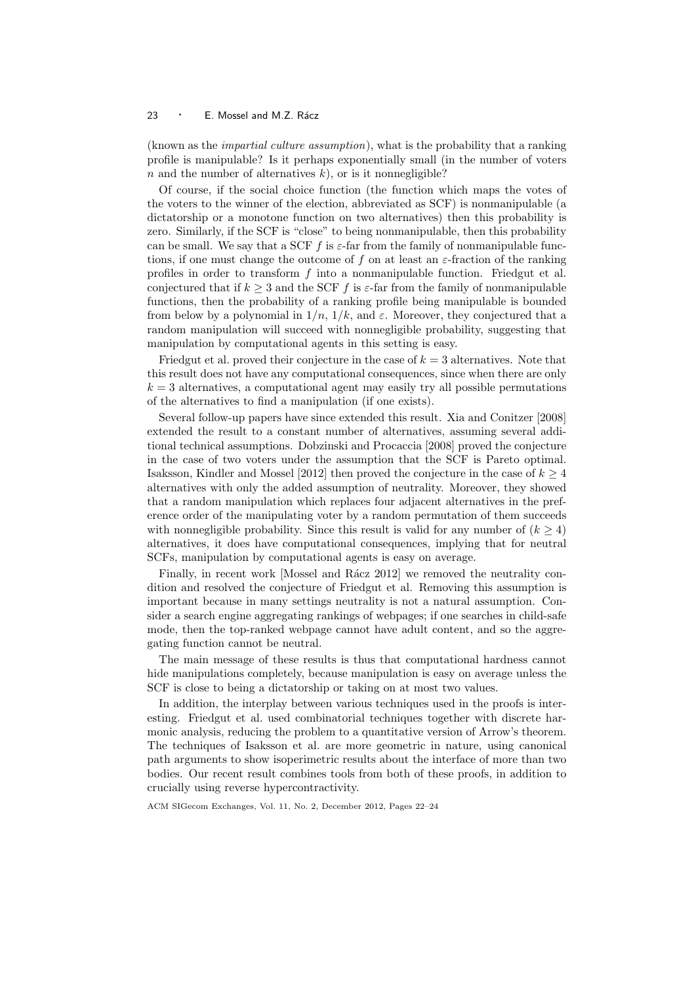#### $23 \cdot E$ . Mossel and M.Z. Rácz

(known as the impartial culture assumption), what is the probability that a ranking profile is manipulable? Is it perhaps exponentially small (in the number of voters n and the number of alternatives  $k$ ), or is it nonnegligible?

Of course, if the social choice function (the function which maps the votes of the voters to the winner of the election, abbreviated as SCF) is nonmanipulable (a dictatorship or a monotone function on two alternatives) then this probability is zero. Similarly, if the SCF is "close" to being nonmanipulable, then this probability can be small. We say that a SCF f is  $\varepsilon$ -far from the family of nonmanipulable functions, if one must change the outcome of f on at least an  $\varepsilon$ -fraction of the ranking profiles in order to transform  $f$  into a nonmanipulable function. Friedgut et al. conjectured that if  $k \geq 3$  and the SCF f is  $\varepsilon$ -far from the family of nonmanipulable functions, then the probability of a ranking profile being manipulable is bounded from below by a polynomial in  $1/n$ ,  $1/k$ , and  $\varepsilon$ . Moreover, they conjectured that a random manipulation will succeed with nonnegligible probability, suggesting that manipulation by computational agents in this setting is easy.

Friedgut et al. proved their conjecture in the case of  $k = 3$  alternatives. Note that this result does not have any computational consequences, since when there are only  $k = 3$  alternatives, a computational agent may easily try all possible permutations of the alternatives to find a manipulation (if one exists).

Several follow-up papers have since extended this result. Xia and Conitzer [2008] extended the result to a constant number of alternatives, assuming several additional technical assumptions. Dobzinski and Procaccia [2008] proved the conjecture in the case of two voters under the assumption that the SCF is Pareto optimal. Isaksson, Kindler and Mossel [2012] then proved the conjecture in the case of  $k \geq 4$ alternatives with only the added assumption of neutrality. Moreover, they showed that a random manipulation which replaces four adjacent alternatives in the preference order of the manipulating voter by a random permutation of them succeeds with nonnegligible probability. Since this result is valid for any number of  $(k \geq 4)$ alternatives, it does have computational consequences, implying that for neutral SCFs, manipulation by computational agents is easy on average.

Finally, in recent work [Mossel and Rácz 2012] we removed the neutrality condition and resolved the conjecture of Friedgut et al. Removing this assumption is important because in many settings neutrality is not a natural assumption. Consider a search engine aggregating rankings of webpages; if one searches in child-safe mode, then the top-ranked webpage cannot have adult content, and so the aggregating function cannot be neutral.

The main message of these results is thus that computational hardness cannot hide manipulations completely, because manipulation is easy on average unless the SCF is close to being a dictatorship or taking on at most two values.

In addition, the interplay between various techniques used in the proofs is interesting. Friedgut et al. used combinatorial techniques together with discrete harmonic analysis, reducing the problem to a quantitative version of Arrow's theorem. The techniques of Isaksson et al. are more geometric in nature, using canonical path arguments to show isoperimetric results about the interface of more than two bodies. Our recent result combines tools from both of these proofs, in addition to crucially using reverse hypercontractivity.

ACM SIGecom Exchanges, Vol. 11, No. 2, December 2012, Pages 22–24